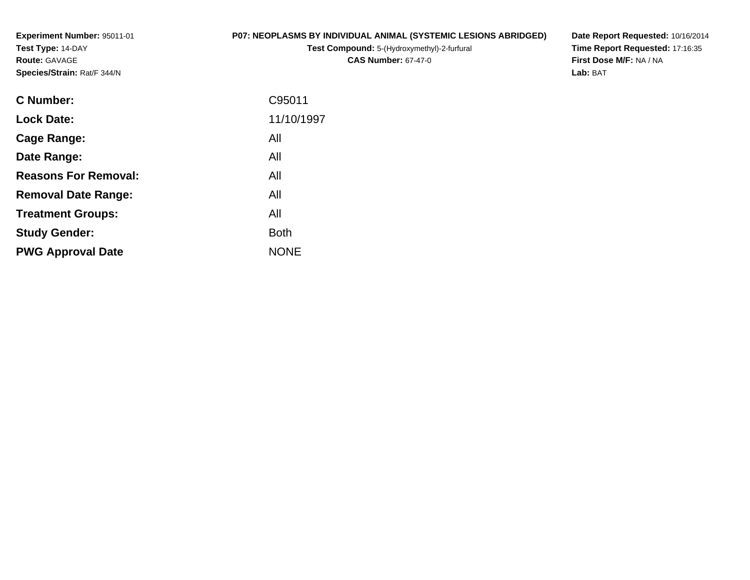**Experiment Number:** 95011-01**Test Type:** 14-DAY**Route:** GAVAGE**Species/Strain:** Rat/F 344/N

# **P07: NEOPLASMS BY INDIVIDUAL ANIMAL (SYSTEMIC LESIONS ABRIDGED)**

**Test Compound:** 5-(Hydroxymethyl)-2-furfural **CAS Number:** 67-47-0

**Date Report Requested:** 10/16/2014 **Time Report Requested:** 17:16:35**First Dose M/F:** NA / NA**Lab:** BAT

| <b>C</b> Number:            | C95011      |
|-----------------------------|-------------|
| <b>Lock Date:</b>           | 11/10/1997  |
| Cage Range:                 | All         |
| Date Range:                 | All         |
| <b>Reasons For Removal:</b> | All         |
| <b>Removal Date Range:</b>  | All         |
| <b>Treatment Groups:</b>    | All         |
| <b>Study Gender:</b>        | <b>Both</b> |
| <b>PWG Approval Date</b>    | <b>NONE</b> |
|                             |             |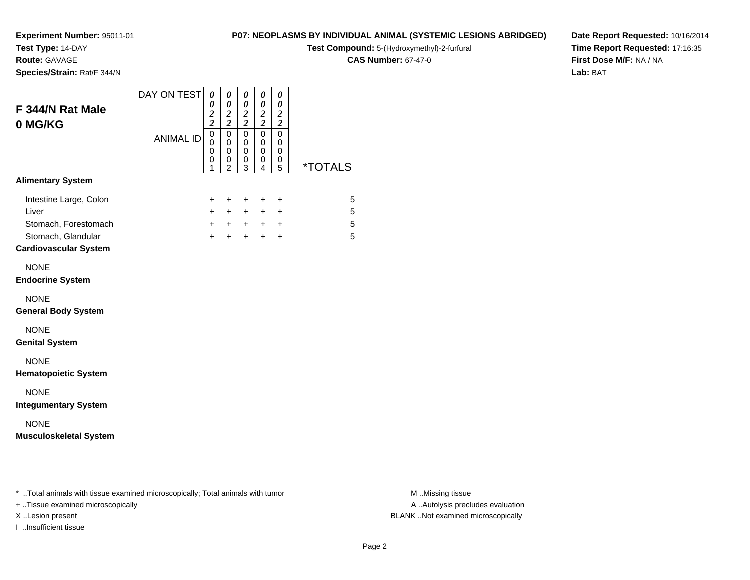**Test Type:** 14-DAY

**Route:** GAVAGE

**Species/Strain:** Rat/F 344/N

### **P07: NEOPLASMS BY INDIVIDUAL ANIMAL (SYSTEMIC LESIONS ABRIDGED)**

**Test Compound:** 5-(Hydroxymethyl)-2-furfural

**CAS Number:** 67-47-0

**Date Report Requested:** 10/16/2014**Time Report Requested:** 17:16:35**First Dose M/F:** NA / NA**Lab:** BAT

| DAY ON TEST      | 0<br>$\boldsymbol{\theta}$<br>$\frac{2}{2}$ | $\pmb{\theta}$<br>$\boldsymbol{\theta}$<br>$\boldsymbol{2}$<br>$\overline{\mathbf{c}}$ | $\boldsymbol{\theta}$<br>$\pmb{\theta}$<br>$\frac{2}{2}$ | $\boldsymbol{\theta}$<br>$\boldsymbol{\theta}$<br>$\frac{2}{2}$ | 0<br>$\boldsymbol{\theta}$<br>$\boldsymbol{2}$<br>$\boldsymbol{2}$ |                       |
|------------------|---------------------------------------------|----------------------------------------------------------------------------------------|----------------------------------------------------------|-----------------------------------------------------------------|--------------------------------------------------------------------|-----------------------|
| <b>ANIMAL ID</b> | $\mathbf 0$<br>0<br>$\mathbf 0$<br>0<br>1   | $\mathbf 0$<br>0<br>0<br>0<br>$\mathfrak{p}$                                           | $\mathbf 0$<br>0<br>0<br>0<br>3                          | $\mathbf 0$<br>0<br>$\mathbf 0$<br>0<br>$\overline{4}$          | $\mathbf 0$<br>0<br>0<br>0<br>5                                    | <i><b>*TOTALS</b></i> |
|                  |                                             |                                                                                        |                                                          |                                                                 |                                                                    |                       |
|                  | +<br>$\ddot{}$<br>$+$<br>$\ddot{}$          | $\ddot{}$<br>$+$<br>$\ddot{}$                                                          | $\ddot{}$<br>$+$                                         | $\ddot{}$                                                       | +<br>$\ddot{}$<br>$\ddot{}$                                        | 5<br>5<br>5<br>5      |
|                  |                                             |                                                                                        |                                                          |                                                                 |                                                                    |                       |
|                  |                                             |                                                                                        |                                                          |                                                                 |                                                                    |                       |
|                  |                                             |                                                                                        |                                                          |                                                                 |                                                                    |                       |
|                  |                                             |                                                                                        |                                                          |                                                                 |                                                                    |                       |
|                  |                                             |                                                                                        |                                                          |                                                                 |                                                                    |                       |
|                  |                                             |                                                                                        |                                                          |                                                                 |                                                                    |                       |
|                  |                                             |                                                                                        |                                                          | $+$                                                             | $+$<br>$+$                                                         | $+$<br>$+$ $+$<br>$+$ |

\* ..Total animals with tissue examined microscopically; Total animals with tumor **M** . Missing tissue M ..Missing tissue

+ ..Tissue examined microscopically

I ..Insufficient tissue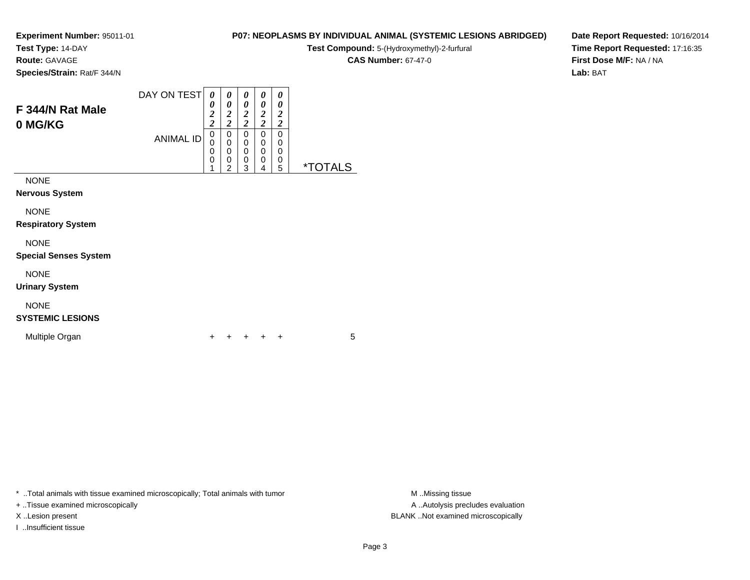**Test Type:** 14-DAY

**Route:** GAVAGE

**Species/Strain:** Rat/F 344/N

# **CAS Number:** 67-47-0

**Date Report Requested:** 10/16/2014**Time Report Requested:** 17:16:35**First Dose M/F:** NA / NA**Lab:** BAT

| F 344/N Rat Male<br>0 MG/KG          | DAY ON TEST<br><b>ANIMAL ID</b> | 0<br>0<br>$\overline{c}$<br>2<br>0<br>0<br>0<br>0<br>4 | 0<br>0<br>2<br>2<br>0<br>0<br>0<br>0<br>ົ | 0<br>0<br>2<br>2<br>0<br>0<br>0<br>0<br>з | 0<br>0<br>2<br>2<br>0<br>0<br>0<br>0<br>4 | 0<br>0<br>2<br>2<br>0<br>0<br>0<br>0<br>5 | ∗٦<br>۱S |
|--------------------------------------|---------------------------------|--------------------------------------------------------|-------------------------------------------|-------------------------------------------|-------------------------------------------|-------------------------------------------|----------|
| <b>NONE</b><br><b>Nervous System</b> |                                 |                                                        |                                           |                                           |                                           |                                           |          |

NONE

**Respiratory System**

# NONE

**Special Senses System**

NONE

**Urinary System**

# NONE

**SYSTEMIC LESIONS**

Multiple Organn  $+$ 

<sup>+</sup> <sup>+</sup> <sup>+</sup> <sup>+</sup> <sup>5</sup>

\* ..Total animals with tissue examined microscopically; Total animals with tumor **M** ...Missing tissue M ...Missing tissue

+ ..Tissue examined microscopically

I ..Insufficient tissue

A .. Autolysis precludes evaluation X ..Lesion present BLANK ..Not examined microscopically

**P07: NEOPLASMS BY INDIVIDUAL ANIMAL (SYSTEMIC LESIONS ABRIDGED)Test Compound:** 5-(Hydroxymethyl)-2-furfural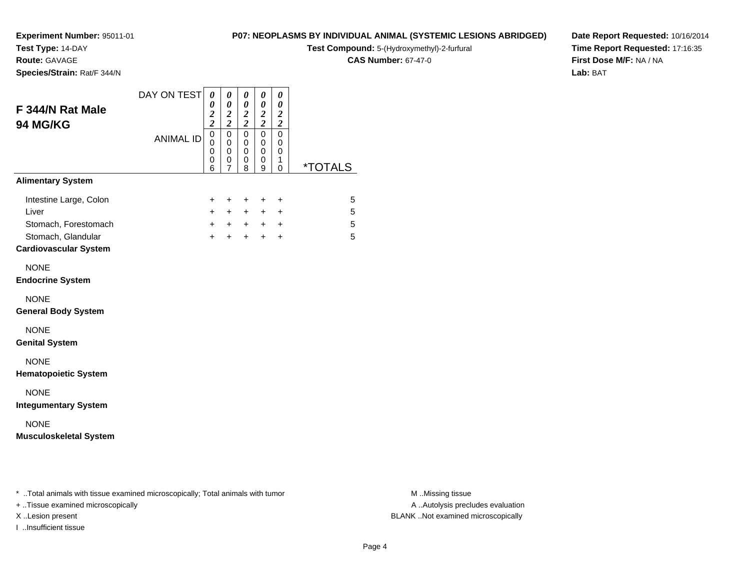**Test Type:** 14-DAY

**Route:** GAVAGE

**Species/Strain:** Rat/F 344/N

# **P07: NEOPLASMS BY INDIVIDUAL ANIMAL (SYSTEMIC LESIONS ABRIDGED)**

**Test Compound:** 5-(Hydroxymethyl)-2-furfural

**CAS Number:** 67-47-0

**Date Report Requested:** 10/16/2014**Time Report Requested:** 17:16:35**First Dose M/F:** NA / NA**Lab:** BAT

| F 344/N Rat Male<br>94 MG/KG                                                                                  | DAY ON TEST      | 0<br>$\theta$<br>$\frac{2}{2}$                                   | $\boldsymbol{\theta}$<br>0<br>$\frac{2}{2}$          | 0<br>0<br>$\frac{2}{2}$            | $\boldsymbol{\theta}$<br>0<br>$\frac{2}{2}$ | 0<br>0<br>$\boldsymbol{2}$<br>$\boldsymbol{2}$      |                       |
|---------------------------------------------------------------------------------------------------------------|------------------|------------------------------------------------------------------|------------------------------------------------------|------------------------------------|---------------------------------------------|-----------------------------------------------------|-----------------------|
|                                                                                                               | <b>ANIMAL ID</b> | $\overline{0}$<br>$\mathbf 0$<br>$\mathbf 0$<br>$\mathbf 0$<br>6 | $\mathsf 0$<br>$\pmb{0}$<br>0<br>0<br>$\overline{7}$ | $\overline{0}$<br>0<br>0<br>0<br>8 | $\mathsf 0$<br>0<br>0<br>0<br>9             | $\mathbf 0$<br>$\mathbf 0$<br>0<br>1<br>$\mathbf 0$ | <i><b>*TOTALS</b></i> |
| <b>Alimentary System</b>                                                                                      |                  |                                                                  |                                                      |                                    |                                             |                                                     |                       |
| Intestine Large, Colon<br>Liver<br>Stomach, Forestomach<br>Stomach, Glandular<br><b>Cardiovascular System</b> |                  | $\ddot{}$<br>$\ddot{}$<br>$\ddot{}$<br>$+$                       | $\pm$<br>$\ddot{}$<br>$+$<br>$+$                     | $\pm$<br>$+$<br>$+$<br>$+$         | $\pm$<br>$+$<br>$+$ $+$<br>$+$              | $\ddot{}$<br>+<br>$\ddot{}$                         | 5<br>5<br>5<br>5      |
| <b>NONE</b><br><b>Endocrine System</b>                                                                        |                  |                                                                  |                                                      |                                    |                                             |                                                     |                       |
| <b>NONE</b><br><b>General Body System</b>                                                                     |                  |                                                                  |                                                      |                                    |                                             |                                                     |                       |
| <b>NONE</b><br><b>Genital System</b>                                                                          |                  |                                                                  |                                                      |                                    |                                             |                                                     |                       |
| <b>NONE</b><br><b>Hematopoietic System</b>                                                                    |                  |                                                                  |                                                      |                                    |                                             |                                                     |                       |
| <b>NONE</b><br><b>Integumentary System</b>                                                                    |                  |                                                                  |                                                      |                                    |                                             |                                                     |                       |
| <b>NONE</b><br><b>Musculoskeletal System</b>                                                                  |                  |                                                                  |                                                      |                                    |                                             |                                                     |                       |

\* ..Total animals with tissue examined microscopically; Total animals with tumor **M** . Missing tissue M ..Missing tissue

+ ..Tissue examined microscopically

I ..Insufficient tissue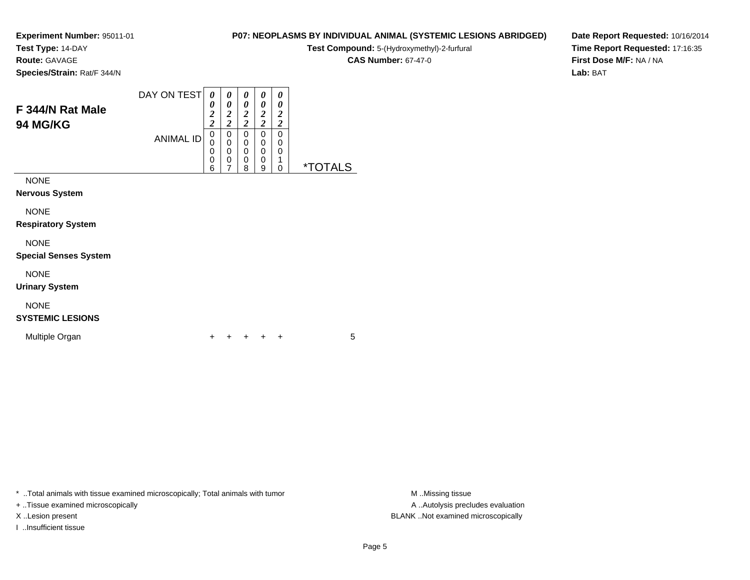**Test Type:** 14-DAY

**Route:** GAVAGE

**Species/Strain:** Rat/F 344/N

#### DAY ON TEST**F 344/N Rat Male94 MG/KG**ANIMAL ID*0 0 2 2*0<br>0<br>0<br>0<br>6 *0 0 2 2*0<br>0<br>0<br>0<br>7 *0 0 2 2* 0 0 0 0 8*0 0 2 2* 0 0 0 0 9*0 0 2 2* 0 00<br>1<br>^

NONE

**Nervous System**

NONE

**Respiratory System**

NONE

**Special Senses System**

NONE

**Urinary System**

# NONE

**SYSTEMIC LESIONS**

Multiple Organn  $+$ 

<sup>+</sup> <sup>+</sup> <sup>+</sup> <sup>+</sup> <sup>5</sup>

\* ..Total animals with tissue examined microscopically; Total animals with tumor **M** ..Missing tissue M ..Missing tissue

+ ..Tissue examined microscopically

I ..Insufficient tissue

A .. Autolysis precludes evaluation X ..Lesion present BLANK ..Not examined microscopically

**P07: NEOPLASMS BY INDIVIDUAL ANIMAL (SYSTEMIC LESIONS ABRIDGED)Test Compound:** 5-(Hydroxymethyl)-2-furfural **CAS Number:** 67-47-0

0 \*TOTALS

**Date Report Requested:** 10/16/2014**Time Report Requested:** 17:16:35**First Dose M/F:** NA / NA**Lab:** BAT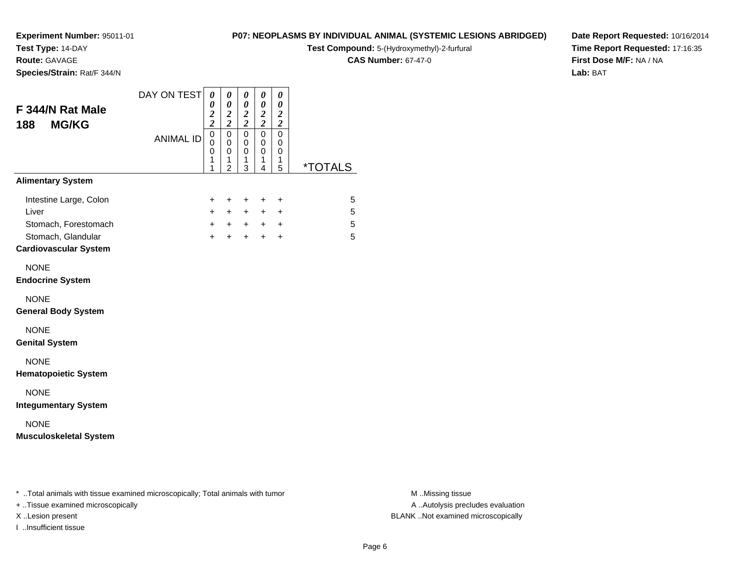**Test Type:** 14-DAY

**Route:** GAVAGE

**Species/Strain:** Rat/F 344/N

### **P07: NEOPLASMS BY INDIVIDUAL ANIMAL (SYSTEMIC LESIONS ABRIDGED)**

**Test Compound:** 5-(Hydroxymethyl)-2-furfural

**CAS Number:** 67-47-0

**Date Report Requested:** 10/16/2014**Time Report Requested:** 17:16:35**First Dose M/F:** NA / NA**Lab:** BAT

| F 344/N Rat Male<br><b>MG/KG</b><br>188                                                                       | DAY ON TEST      | 0<br>$\pmb{\theta}$<br>0<br>$\frac{2}{2}$<br>$\overline{\mathbf{c}}$<br>$\overline{\mathbf{c}}$ | 0                                            | 0<br>$\pmb{\theta}$<br>$\frac{2}{2}$ | $\boldsymbol{\theta}$<br>$\pmb{\theta}$<br>$\frac{2}{2}$ | 0<br>0<br>$\boldsymbol{2}$<br>$\boldsymbol{2}$ |                       |  |
|---------------------------------------------------------------------------------------------------------------|------------------|-------------------------------------------------------------------------------------------------|----------------------------------------------|--------------------------------------|----------------------------------------------------------|------------------------------------------------|-----------------------|--|
|                                                                                                               | <b>ANIMAL ID</b> | $\mathbf 0$<br>$\mathbf 0$<br>$\boldsymbol{0}$<br>1<br>1                                        | $\mathbf 0$<br>0<br>0<br>1<br>$\overline{2}$ | $\pmb{0}$<br>0<br>0<br>1<br>3        | 0<br>0<br>0<br>1<br>$\overline{4}$                       | $\pmb{0}$<br>0<br>0<br>1<br>5                  | <i><b>*TOTALS</b></i> |  |
| <b>Alimentary System</b>                                                                                      |                  |                                                                                                 |                                              |                                      |                                                          |                                                |                       |  |
| Intestine Large, Colon<br>Liver<br>Stomach, Forestomach<br>Stomach, Glandular<br><b>Cardiovascular System</b> |                  | +<br>$\ddot{}$<br>$+$<br>$+$                                                                    | $\ddot{}$<br>$+$<br>+ + + +<br>$+$           | $\ddot{}$<br>$+$<br>$+$              | +<br>$+$<br>$+$                                          | +<br>$\ddot{}$<br>$\ddot{}$                    | 5<br>5<br>5<br>5      |  |
| <b>NONE</b><br><b>Endocrine System</b>                                                                        |                  |                                                                                                 |                                              |                                      |                                                          |                                                |                       |  |
| <b>NONE</b><br><b>General Body System</b>                                                                     |                  |                                                                                                 |                                              |                                      |                                                          |                                                |                       |  |
| <b>NONE</b><br><b>Genital System</b>                                                                          |                  |                                                                                                 |                                              |                                      |                                                          |                                                |                       |  |
| <b>NONE</b><br><b>Hematopoietic System</b>                                                                    |                  |                                                                                                 |                                              |                                      |                                                          |                                                |                       |  |
| <b>NONE</b><br><b>Integumentary System</b>                                                                    |                  |                                                                                                 |                                              |                                      |                                                          |                                                |                       |  |
| <b>NONE</b><br><b>Musculoskeletal System</b>                                                                  |                  |                                                                                                 |                                              |                                      |                                                          |                                                |                       |  |

\* ..Total animals with tissue examined microscopically; Total animals with tumor **M** . Missing tissue M ..Missing tissue

+ ..Tissue examined microscopically

I ..Insufficient tissue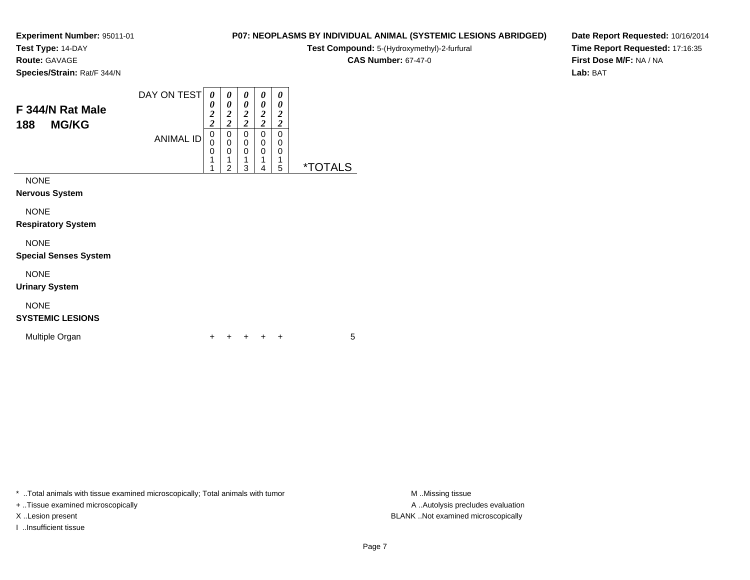**Test Type:** 14-DAY

**Route:** GAVAGE

**Species/Strain:** Rat/F 344/N

#### DAY ON TEST**F 344/N Rat Male188 MG/KG**ANIMAL ID*0 0 2 2* 0 0 0*0 0 2 2*0<br>0<br>0<br>1 *0 0 2 2* 0 0 0*0 0 2 2* 0*0 0 2 2*0

 11

2

 1 3 0 0 1 40<br>1<br>= 5 \*TOTALS

0

NONE

**Nervous System**

NONE

**Respiratory System**

NONE

**Special Senses System**

NONE

**Urinary System**

# NONE

# **SYSTEMIC LESIONS**

Multiple Organn  $+$ 

<sup>+</sup> <sup>+</sup> <sup>+</sup> <sup>+</sup> <sup>5</sup>

\* ..Total animals with tissue examined microscopically; Total animals with tumor **M** ..Missing tissue M ..Missing tissue

+ ..Tissue examined microscopically

I ..Insufficient tissue

A .. Autolysis precludes evaluation X ..Lesion present BLANK ..Not examined microscopically

**P07: NEOPLASMS BY INDIVIDUAL ANIMAL (SYSTEMIC LESIONS ABRIDGED)Test Compound:** 5-(Hydroxymethyl)-2-furfural

**CAS Number:** 67-47-0

**Date Report Requested:** 10/16/2014**Time Report Requested:** 17:16:35**First Dose M/F:** NA / NA**Lab:** BAT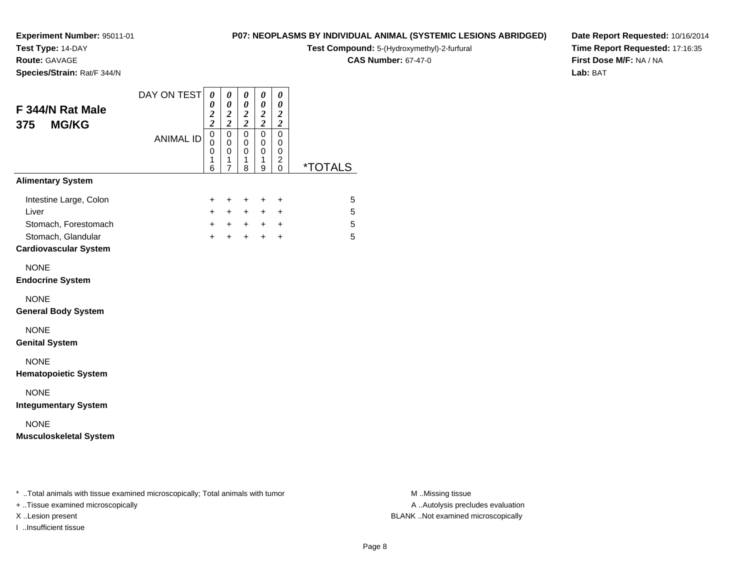**Test Type:** 14-DAY

**Route:** GAVAGE

**Species/Strain:** Rat/F 344/N

### **P07: NEOPLASMS BY INDIVIDUAL ANIMAL (SYSTEMIC LESIONS ABRIDGED)**

**Test Compound:** 5-(Hydroxymethyl)-2-furfural

**CAS Number:** 67-47-0

**Date Report Requested:** 10/16/2014**Time Report Requested:** 17:16:35**First Dose M/F:** NA / NA**Lab:** BAT

| F 344/N Rat Male<br><b>MG/KG</b><br>375                                                                       | DAY ON TEST      | 0<br>$\pmb{\theta}$<br>0<br>$\frac{2}{2}$<br>$\boldsymbol{2}$<br>$\overline{\mathbf{c}}$ | 0                                            | 0<br>$\pmb{\theta}$<br>$\frac{2}{2}$ | $\boldsymbol{\theta}$<br>$\pmb{\theta}$<br>$\frac{2}{2}$ | 0<br>0<br>$\boldsymbol{2}$<br>$\boldsymbol{2}$         |                       |
|---------------------------------------------------------------------------------------------------------------|------------------|------------------------------------------------------------------------------------------|----------------------------------------------|--------------------------------------|----------------------------------------------------------|--------------------------------------------------------|-----------------------|
|                                                                                                               | <b>ANIMAL ID</b> | $\mathbf 0$<br>0<br>0<br>1<br>6                                                          | $\mathbf 0$<br>0<br>0<br>1<br>$\overline{7}$ | $\mathbf 0$<br>0<br>0<br>1<br>8      | 0<br>0<br>0<br>1<br>9                                    | $\mathbf 0$<br>0<br>0<br>$\overline{c}$<br>$\mathbf 0$ | <i><b>*TOTALS</b></i> |
| <b>Alimentary System</b>                                                                                      |                  |                                                                                          |                                              |                                      |                                                          |                                                        |                       |
| Intestine Large, Colon<br>Liver<br>Stomach, Forestomach<br>Stomach, Glandular<br><b>Cardiovascular System</b> |                  | +<br>$\ddot{}$<br>$+$<br>$+$                                                             | $\ddot{}$<br>$\ddot{}$<br>$+$<br>$+$         | +<br>$\ddot{}$<br>$+$                | +<br>$+$ $-$<br>$+$ $+$ $+$<br>$+$                       | $\ddot{}$<br>+<br>$+$                                  | 5<br>5<br>5<br>5      |
| <b>NONE</b><br><b>Endocrine System</b>                                                                        |                  |                                                                                          |                                              |                                      |                                                          |                                                        |                       |
| <b>NONE</b><br><b>General Body System</b>                                                                     |                  |                                                                                          |                                              |                                      |                                                          |                                                        |                       |
| <b>NONE</b><br><b>Genital System</b>                                                                          |                  |                                                                                          |                                              |                                      |                                                          |                                                        |                       |
| <b>NONE</b><br><b>Hematopoietic System</b>                                                                    |                  |                                                                                          |                                              |                                      |                                                          |                                                        |                       |
| <b>NONE</b><br><b>Integumentary System</b>                                                                    |                  |                                                                                          |                                              |                                      |                                                          |                                                        |                       |
| <b>NONE</b><br><b>Musculoskeletal System</b>                                                                  |                  |                                                                                          |                                              |                                      |                                                          |                                                        |                       |

\* ..Total animals with tissue examined microscopically; Total animals with tumor **M** . Missing tissue M ..Missing tissue

+ ..Tissue examined microscopically

I ..Insufficient tissue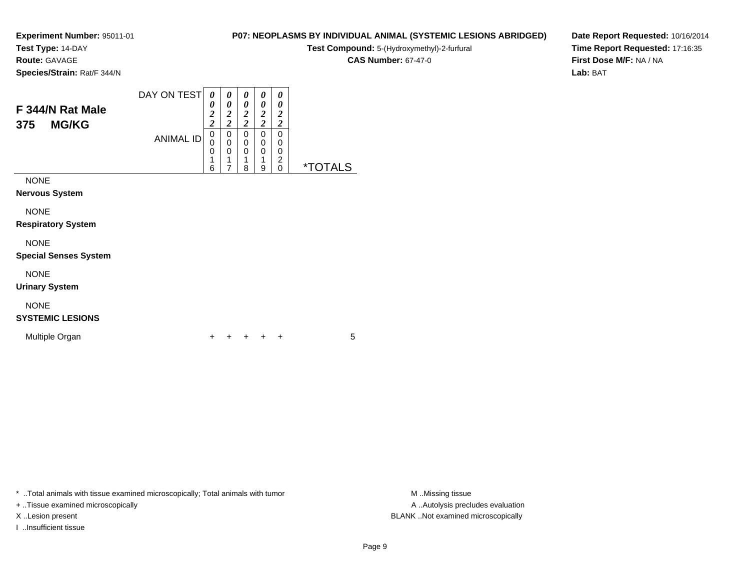**Test Type:** 14-DAY

**Route:** GAVAGE

**Species/Strain:** Rat/F 344/N

#### DAY ON TEST**F 344/N Rat Male375 MG/KG**ANIMAL ID*0 0 2 2* 0 0 0 1*0 0 2 2*0<br>0<br>0<br>1 *0 0 2 2* 0 0 0 1*0 0 2 2* 0 0 0 1*0 0 2 2* 0 00 2

6

7

8

9

0 \*TOTALS

NONE

**Nervous System**

NONE

**Respiratory System**

NONE

**Special Senses System**

NONE

**Urinary System**

# NONE

# **SYSTEMIC LESIONS**

Multiple Organn  $+$ 

<sup>+</sup> <sup>+</sup> <sup>+</sup> <sup>+</sup> <sup>5</sup>

\* ..Total animals with tissue examined microscopically; Total animals with tumor **M** ..Missing tissue M ..Missing tissue

+ ..Tissue examined microscopically

X ..Lesion present BLANK ..Not examined microscopically

I ..Insufficient tissue

**P07: NEOPLASMS BY INDIVIDUAL ANIMAL (SYSTEMIC LESIONS ABRIDGED)**

**Test Compound:** 5-(Hydroxymethyl)-2-furfural

**CAS Number:** 67-47-0

**Date Report Requested:** 10/16/2014**Time Report Requested:** 17:16:35**First Dose M/F:** NA / NA**Lab:** BAT

Page 9

A ..Autolysis precludes evaluation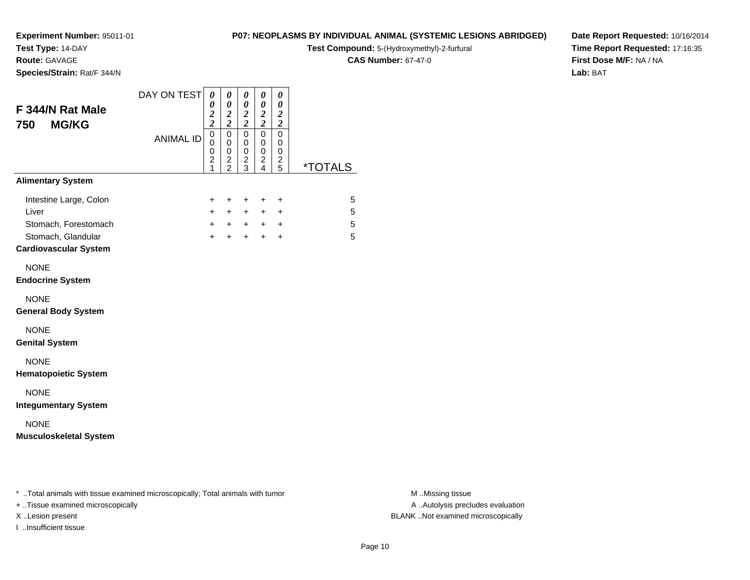**Test Type:** 14-DAY

**Route:** GAVAGE

**Species/Strain:** Rat/F 344/N

### **P07: NEOPLASMS BY INDIVIDUAL ANIMAL (SYSTEMIC LESIONS ABRIDGED)**

**Test Compound:** 5-(Hydroxymethyl)-2-furfural

**CAS Number:** 67-47-0

**Date Report Requested:** 10/16/2014**Time Report Requested:** 17:16:35**First Dose M/F:** NA / NA**Lab:** BAT

| F 344/N Rat Male<br><b>MG/KG</b><br>750                 | DAY ON TEST      |                                                                                      | 0<br>0<br>$\frac{2}{2}$                | 0<br>$\pmb{\theta}$<br>$\frac{2}{2}$         | 0<br>0<br>$\frac{2}{2}$                      | 0<br>$\boldsymbol{\theta}$<br>$\boldsymbol{2}$<br>$\boldsymbol{2}$ |                       |
|---------------------------------------------------------|------------------|--------------------------------------------------------------------------------------|----------------------------------------|----------------------------------------------|----------------------------------------------|--------------------------------------------------------------------|-----------------------|
|                                                         | <b>ANIMAL ID</b> | $\mathbf 0$<br>$\mathbf 0$<br>$\mathbf 0$<br>$\overline{\mathbf{c}}$<br>$\mathbf{1}$ | $\mathsf 0$<br>0<br>0<br>$\frac{2}{2}$ | $\pmb{0}$<br>0<br>$\pmb{0}$<br>$\frac{2}{3}$ | $\pmb{0}$<br>0<br>$\pmb{0}$<br>$\frac{2}{4}$ | $\pmb{0}$<br>$\mathbf 0$<br>0<br>$\frac{2}{5}$                     | <i><b>*TOTALS</b></i> |
| <b>Alimentary System</b>                                |                  |                                                                                      |                                        |                                              |                                              |                                                                    |                       |
| Intestine Large, Colon<br>Liver<br>Stomach, Forestomach |                  | +<br>$+$<br>$+$                                                                      | $\ddot{}$<br>$+$<br>$+$                | $\ddot{}$<br>$+$<br>$+$                      | $\ddot{}$<br>$+$                             | $\ddot{}$<br>$\ddot{}$<br>$+$ $+$                                  | 5<br>5<br>5           |
| Stomach, Glandular<br><b>Cardiovascular System</b>      |                  | $\ddot{}$                                                                            | $\ddot{}$                              | $+$                                          | $+$                                          | $\ddot{}$                                                          | 5                     |
| <b>NONE</b><br><b>Endocrine System</b>                  |                  |                                                                                      |                                        |                                              |                                              |                                                                    |                       |
| <b>NONE</b><br><b>General Body System</b>               |                  |                                                                                      |                                        |                                              |                                              |                                                                    |                       |
| <b>NONE</b><br><b>Genital System</b>                    |                  |                                                                                      |                                        |                                              |                                              |                                                                    |                       |
| <b>NONE</b><br><b>Hematopoietic System</b>              |                  |                                                                                      |                                        |                                              |                                              |                                                                    |                       |
| <b>NONE</b><br><b>Integumentary System</b>              |                  |                                                                                      |                                        |                                              |                                              |                                                                    |                       |
| <b>NONE</b><br><b>Musculoskeletal System</b>            |                  |                                                                                      |                                        |                                              |                                              |                                                                    |                       |

\* ..Total animals with tissue examined microscopically; Total animals with tumor **M** . Missing tissue M ..Missing tissue

+ ..Tissue examined microscopically

I ..Insufficient tissue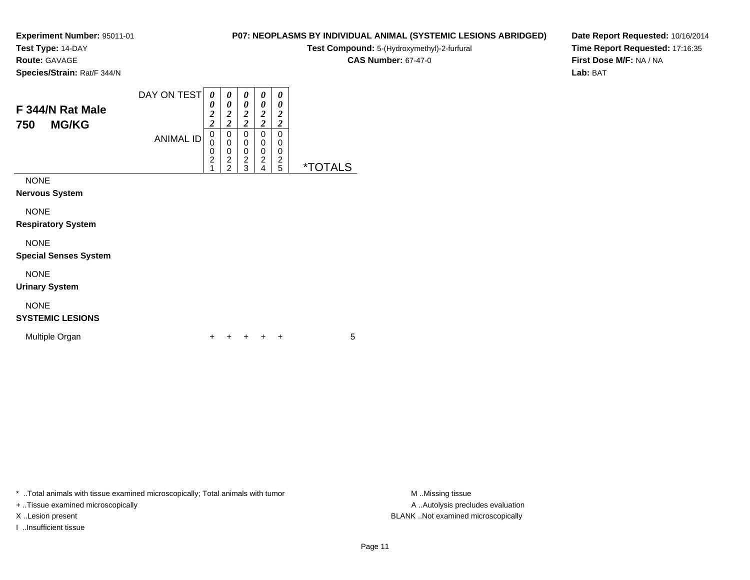**Test Type:** 14-DAY

**Route:** GAVAGE

**Species/Strain:** Rat/F 344/N

#### DAY ON TEST**F 344/N Rat Male750 MG/KG**ANIMAL ID*0 0 2 2*0<br>0<br>0<br>2<br>1 *0 0 2 2* 0 0 0 2 2*0 0 2 2* 0 0 0 2 3*0 0 2 2* 0 0 0 2 4*0 0 2 2* 0 00<br>2<br>=

NONE

**Nervous System**

NONE

**Respiratory System**

NONE

**Special Senses System**

NONE

**Urinary System**

# NONE

**SYSTEMIC LESIONS**

Multiple Organn  $+$ 

<sup>+</sup> <sup>+</sup> <sup>+</sup> <sup>+</sup> <sup>5</sup>

\* ..Total animals with tissue examined microscopically; Total animals with tumor **M** ..Missing tissue M ..Missing tissue

+ ..Tissue examined microscopically

X ..Lesion present BLANK ..Not examined microscopically

I ..Insufficient tissue

**CAS Number:** 67-47-0

5 \*TOTALS

**P07: NEOPLASMS BY INDIVIDUAL ANIMAL (SYSTEMIC LESIONS ABRIDGED)Test Compound:** 5-(Hydroxymethyl)-2-furfural

**Date Report Requested:** 10/16/2014**Time Report Requested:** 17:16:35**First Dose M/F:** NA / NA**Lab:** BAT

A ..Autolysis precludes evaluation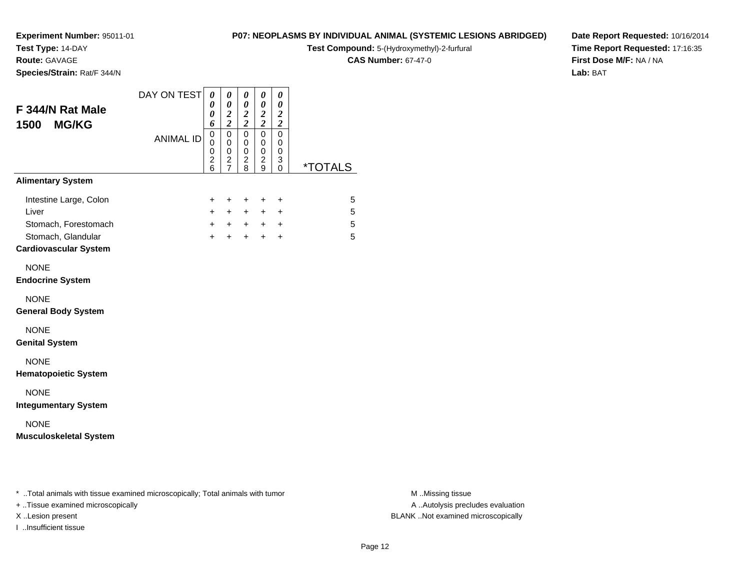**Test Type:** 14-DAY

**Route:** GAVAGE

**Species/Strain:** Rat/F 344/N

# **P07: NEOPLASMS BY INDIVIDUAL ANIMAL (SYSTEMIC LESIONS ABRIDGED)**

**Test Compound:** 5-(Hydroxymethyl)-2-furfural

**CAS Number:** 67-47-0

**Date Report Requested:** 10/16/2014**Time Report Requested:** 17:16:35**First Dose M/F:** NA / NA**Lab:** BAT

| F 344/N Rat Male<br><b>MG/KG</b><br>1500                                                                      | DAY ON TEST      | 0<br>0<br>$\boldsymbol{\theta}$<br>6                      | $\pmb{\theta}$<br>$\boldsymbol{\theta}$<br>$\boldsymbol{2}$<br>$\overline{\mathbf{c}}$ | $\boldsymbol{\theta}$<br>$\pmb{\theta}$<br>$\frac{2}{2}$ | $\boldsymbol{\theta}$<br>$\boldsymbol{\theta}$<br>$\frac{2}{2}$  | 0<br>$\pmb{\theta}$<br>$\boldsymbol{2}$<br>$\boldsymbol{2}$ |                       |
|---------------------------------------------------------------------------------------------------------------|------------------|-----------------------------------------------------------|----------------------------------------------------------------------------------------|----------------------------------------------------------|------------------------------------------------------------------|-------------------------------------------------------------|-----------------------|
|                                                                                                               | <b>ANIMAL ID</b> | $\overline{0}$<br>$\mathbf 0$<br>0<br>$\overline{2}$<br>6 | $\mathbf 0$<br>0<br>0<br>$\boldsymbol{2}$<br>$\overline{7}$                            | $\mathsf 0$<br>$\mathbf 0$<br>0<br>$\overline{c}$<br>8   | $\mathbf 0$<br>$\mathbf 0$<br>$\mathbf 0$<br>$\overline{c}$<br>9 | $\mathbf 0$<br>0<br>0<br>3<br>0                             | <i><b>*TOTALS</b></i> |
| <b>Alimentary System</b>                                                                                      |                  |                                                           |                                                                                        |                                                          |                                                                  |                                                             |                       |
| Intestine Large, Colon<br>Liver<br>Stomach, Forestomach<br>Stomach, Glandular<br><b>Cardiovascular System</b> |                  | $\ddot{}$<br>$\ddot{}$<br>$\ddot{}$<br>$+$                | $+$<br>$+$<br>$+$<br>$+$                                                               | $+$<br>$+$<br>$+$<br>$+$                                 | $\ddot{}$<br>$+$<br>$+$ $-$<br>$+$                               | $\ddot{}$<br>$\ddot{}$<br>$\ddot{}$<br>$\ddot{}$            | 5<br>5<br>5<br>5      |
| <b>NONE</b><br><b>Endocrine System</b>                                                                        |                  |                                                           |                                                                                        |                                                          |                                                                  |                                                             |                       |
| <b>NONE</b><br><b>General Body System</b>                                                                     |                  |                                                           |                                                                                        |                                                          |                                                                  |                                                             |                       |
| <b>NONE</b><br><b>Genital System</b>                                                                          |                  |                                                           |                                                                                        |                                                          |                                                                  |                                                             |                       |
| <b>NONE</b><br><b>Hematopoietic System</b>                                                                    |                  |                                                           |                                                                                        |                                                          |                                                                  |                                                             |                       |
| <b>NONE</b><br><b>Integumentary System</b>                                                                    |                  |                                                           |                                                                                        |                                                          |                                                                  |                                                             |                       |
| <b>NONE</b>                                                                                                   |                  |                                                           |                                                                                        |                                                          |                                                                  |                                                             |                       |

\* ..Total animals with tissue examined microscopically; Total animals with tumor **M** . Missing tissue M ..Missing tissue

+ ..Tissue examined microscopically

I ..Insufficient tissue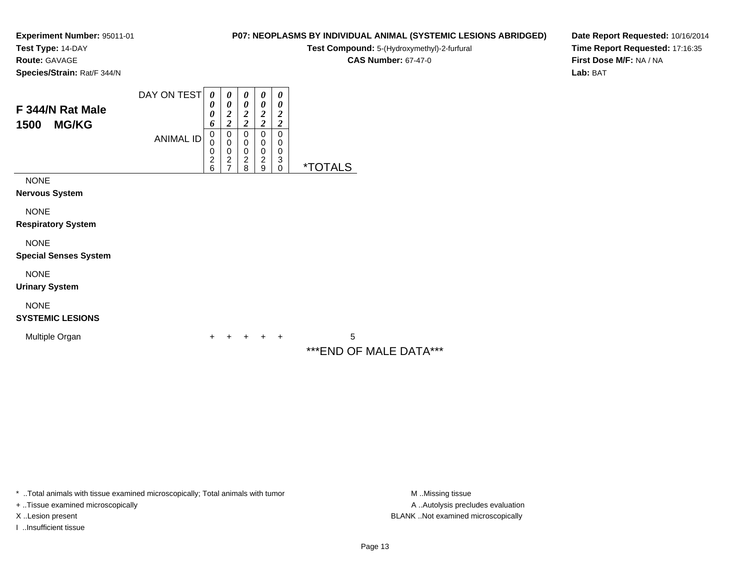**Test Type:** 14-DAY

**Route:** GAVAGE

**Species/Strain:** Rat/F 344/N

#### DAY ON TEST**F 344/N Rat Male1500 MG/KG**ANIMAL ID*0 0 0 6* 0 0 0 2 6*0 0 2 2*0<br>0<br>0<br>2<br>7 *0 0 2 2* 0 0 0 2 8*0 0 2 2* 0 0 0 2 9*0 0 2 2* 0 00 3

NONE

**Nervous System**

NONE

**Respiratory System**

NONE

**Special Senses System**

NONE

**Urinary System**

NONE

**SYSTEMIC LESIONS**

Multiple Organn  $+$ 



0 \*TOTALS

\*\*\*END OF MALE DATA\*\*\*

**P07: NEOPLASMS BY INDIVIDUAL ANIMAL (SYSTEMIC LESIONS ABRIDGED)Test Compound:** 5-(Hydroxymethyl)-2-furfural **CAS Number:** 67-47-0

\* ..Total animals with tissue examined microscopically; Total animals with tumor **M** ..Missing tissue M ..Missing tissue

+ ..Tissue examined microscopically

I ..Insufficient tissue

A .. Autolysis precludes evaluation X ..Lesion present BLANK ..Not examined microscopically

**Date Report Requested:** 10/16/2014**Time Report Requested:** 17:16:35**First Dose M/F:** NA / NA**Lab:** BAT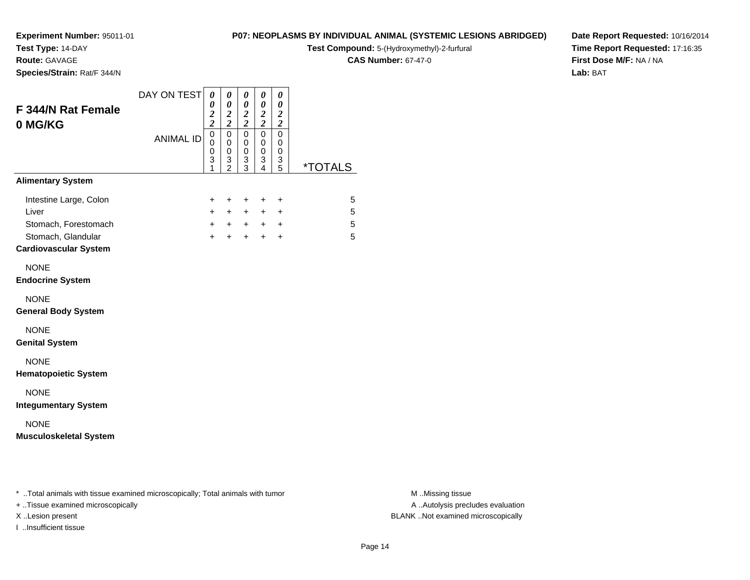**Test Type:** 14-DAY

**Route:** GAVAGE

**Species/Strain:** Rat/F 344/N

### **P07: NEOPLASMS BY INDIVIDUAL ANIMAL (SYSTEMIC LESIONS ABRIDGED)**

**Test Compound:** 5-(Hydroxymethyl)-2-furfural

**CAS Number:** 67-47-0

**Date Report Requested:** 10/16/2014**Time Report Requested:** 17:16:35**First Dose M/F:** NA / NA**Lab:** BAT

| <b>F 344/N Rat Female</b><br>0 MG/KG                                                                          | DAY ON TEST      | $\boldsymbol{\theta}$<br>0<br>$\frac{2}{2}$ | 0<br>$\boldsymbol{\theta}$<br>$\boldsymbol{2}$<br>$\overline{\mathbf{c}}$ | 0<br>$\pmb{\theta}$<br>$\frac{2}{2}$ | 0<br>0<br>$\frac{2}{2}$                                                        | 0<br>$\boldsymbol{\theta}$<br>$\boldsymbol{2}$<br>$\overline{c}$ |                       |
|---------------------------------------------------------------------------------------------------------------|------------------|---------------------------------------------|---------------------------------------------------------------------------|--------------------------------------|--------------------------------------------------------------------------------|------------------------------------------------------------------|-----------------------|
|                                                                                                               | <b>ANIMAL ID</b> | $\mathbf 0$<br>0<br>0<br>3<br>1             | $\mathbf 0$<br>0<br>0<br>$\frac{3}{2}$                                    | $\mathbf 0$<br>0<br>0<br>3<br>3      | $\mathbf 0$<br>0<br>$\mathbf 0$<br>$\ensuremath{\mathsf{3}}$<br>$\overline{4}$ | $\mathbf 0$<br>0<br>0<br>3<br>5                                  | <i><b>*TOTALS</b></i> |
| <b>Alimentary System</b>                                                                                      |                  |                                             |                                                                           |                                      |                                                                                |                                                                  |                       |
| Intestine Large, Colon<br>Liver<br>Stomach, Forestomach<br>Stomach, Glandular<br><b>Cardiovascular System</b> |                  | +<br>$\ddot{}$<br>$+$<br>$\ddot{}$          | $\ddot{}$<br>$+$<br>$+$<br>$+$                                            | $\ddot{}$<br>$+$<br>$+$<br>$+$       | +<br>$+$ $-$<br>$+$                                                            | +<br>$\ddot{}$<br>$+$ $+$<br>$\ddot{}$                           | 5<br>5<br>5<br>5      |
| <b>NONE</b><br><b>Endocrine System</b>                                                                        |                  |                                             |                                                                           |                                      |                                                                                |                                                                  |                       |
| <b>NONE</b><br><b>General Body System</b>                                                                     |                  |                                             |                                                                           |                                      |                                                                                |                                                                  |                       |
| <b>NONE</b><br><b>Genital System</b>                                                                          |                  |                                             |                                                                           |                                      |                                                                                |                                                                  |                       |
| <b>NONE</b><br><b>Hematopoietic System</b>                                                                    |                  |                                             |                                                                           |                                      |                                                                                |                                                                  |                       |
| <b>NONE</b><br><b>Integumentary System</b>                                                                    |                  |                                             |                                                                           |                                      |                                                                                |                                                                  |                       |
| <b>NONE</b><br><b>Musculoskeletal System</b>                                                                  |                  |                                             |                                                                           |                                      |                                                                                |                                                                  |                       |

\* ..Total animals with tissue examined microscopically; Total animals with tumor **M** . Missing tissue M ..Missing tissue

+ ..Tissue examined microscopically

I ..Insufficient tissue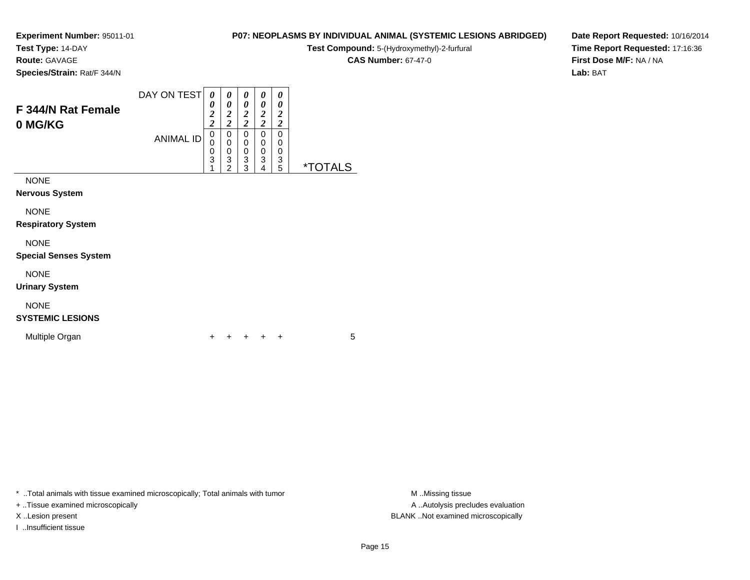**Test Type:** 14-DAY

**Route:** GAVAGE

**Species/Strain:** Rat/F 344/N

# **P07: NEOPLASMS BY INDIVIDUAL ANIMAL (SYSTEMIC LESIONS ABRIDGED)**

**Test Compound:** 5-(Hydroxymethyl)-2-furfural

**CAS Number:** 67-47-0

**Date Report Requested:** 10/16/2014**Time Report Requested:** 17:16:36**First Dose M/F:** NA / NA**Lab:** BAT

| F 344/N Rat Female<br>0 MG/KG        | DAY ON TEST      | 0<br>0<br>2<br>$\overline{\mathbf{c}}$ | 0<br>0<br>2<br>2      | 0<br>0<br>2<br>2             | 0<br>0<br>2<br>2      | 0<br>0<br>2<br>2             |                       |
|--------------------------------------|------------------|----------------------------------------|-----------------------|------------------------------|-----------------------|------------------------------|-----------------------|
|                                      | <b>ANIMAL ID</b> | 0<br>0<br>0<br>3                       | 0<br>0<br>0<br>3<br>າ | 0<br>$\Omega$<br>0<br>3<br>3 | 0<br>0<br>0<br>3<br>4 | $\Omega$<br>0<br>0<br>3<br>5 | <i><b>*TOTALS</b></i> |
| <b>NONE</b><br><b>Nervous System</b> |                  |                                        |                       |                              |                       |                              |                       |
| .                                    |                  |                                        |                       |                              |                       |                              |                       |

NONE

**Respiratory System**

# NONE

#### **Special Senses System**

NONE

**Urinary System**

# NONE

# **SYSTEMIC LESIONS**

Multiple Organn  $+$ 

<sup>+</sup> <sup>+</sup> <sup>+</sup> <sup>+</sup> <sup>5</sup>

\* ..Total animals with tissue examined microscopically; Total animals with tumor **M** ...Missing tissue M ...Missing tissue

+ ..Tissue examined microscopically

I ..Insufficient tissue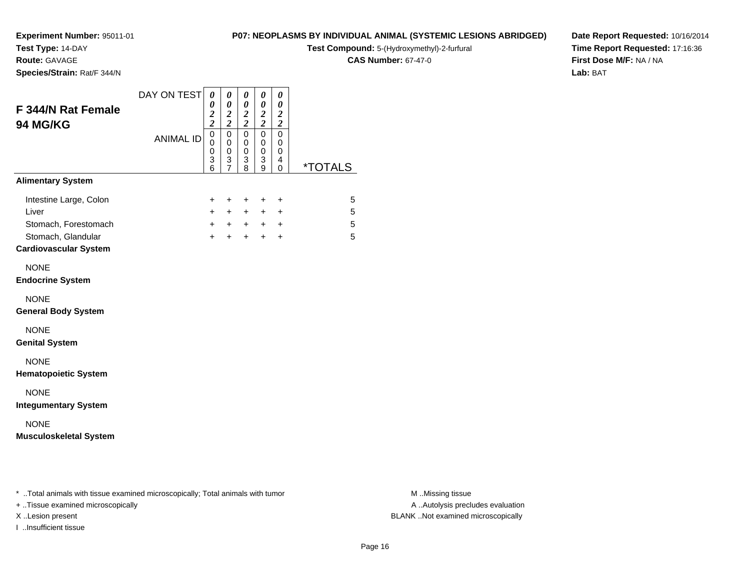**Test Type:** 14-DAY

**Route:** GAVAGE

**Species/Strain:** Rat/F 344/N

# **P07: NEOPLASMS BY INDIVIDUAL ANIMAL (SYSTEMIC LESIONS ABRIDGED)**

**Test Compound:** 5-(Hydroxymethyl)-2-furfural

**CAS Number:** 67-47-0

**Date Report Requested:** 10/16/2014**Time Report Requested:** 17:16:36**First Dose M/F:** NA / NA**Lab:** BAT

| F 344/N Rat Female<br>94 MG/KG                                                                                | DAY ON TEST      |                                                                               | $\pmb{\theta}$<br>0<br>$\boldsymbol{2}$<br>$\overline{2}$ | $\boldsymbol{\theta}$<br>0<br>$\frac{2}{2}$                                            | $\pmb{\theta}$<br>0<br>$\frac{2}{2}$                    | 0<br>0<br>$\boldsymbol{2}$<br>$\overline{c}$ |                       |
|---------------------------------------------------------------------------------------------------------------|------------------|-------------------------------------------------------------------------------|-----------------------------------------------------------|----------------------------------------------------------------------------------------|---------------------------------------------------------|----------------------------------------------|-----------------------|
|                                                                                                               | <b>ANIMAL ID</b> | $\mathbf 0$<br>$\mathbf 0$<br>$\mathbf 0$<br>$\overline{3}$<br>$\overline{6}$ | $\mathbf 0$<br>$\mathbf 0$<br>0<br>3<br>$\overline{7}$    | $\mathbf 0$<br>$\mathbf 0$<br>$\pmb{0}$<br>$\ensuremath{\mathsf{3}}$<br>$\overline{8}$ | $\mathbf 0$<br>0<br>0<br>$\ensuremath{\mathsf{3}}$<br>9 | 0<br>0<br>0<br>4<br>0                        | <i><b>*TOTALS</b></i> |
| <b>Alimentary System</b>                                                                                      |                  |                                                                               |                                                           |                                                                                        |                                                         |                                              |                       |
| Intestine Large, Colon<br>Liver<br>Stomach, Forestomach<br>Stomach, Glandular<br><b>Cardiovascular System</b> |                  | $\ddot{}$<br>$\ddot{}$<br>$\ddot{}$<br>$+$                                    | $\ddot{}$<br>$\ddot{}$<br>$+$<br>$\ddot{}$                | $\ddot{}$<br>$+$<br>$+$<br>$+$                                                         | $\pm$<br>$+$<br>$+$                                     | $\ddot{}$<br>+<br>$+$ $+$<br>$+$             | 5<br>5<br>5<br>5      |
| <b>NONE</b><br><b>Endocrine System</b>                                                                        |                  |                                                                               |                                                           |                                                                                        |                                                         |                                              |                       |
| <b>NONE</b><br><b>General Body System</b>                                                                     |                  |                                                                               |                                                           |                                                                                        |                                                         |                                              |                       |
| <b>NONE</b><br><b>Genital System</b>                                                                          |                  |                                                                               |                                                           |                                                                                        |                                                         |                                              |                       |
| <b>NONE</b><br><b>Hematopoietic System</b>                                                                    |                  |                                                                               |                                                           |                                                                                        |                                                         |                                              |                       |
| <b>NONE</b><br><b>Integumentary System</b>                                                                    |                  |                                                                               |                                                           |                                                                                        |                                                         |                                              |                       |
| <b>NONE</b><br><b>Musculoskeletal System</b>                                                                  |                  |                                                                               |                                                           |                                                                                        |                                                         |                                              |                       |

\* ..Total animals with tissue examined microscopically; Total animals with tumor **M** . Missing tissue M ..Missing tissue

+ ..Tissue examined microscopically

I ..Insufficient tissue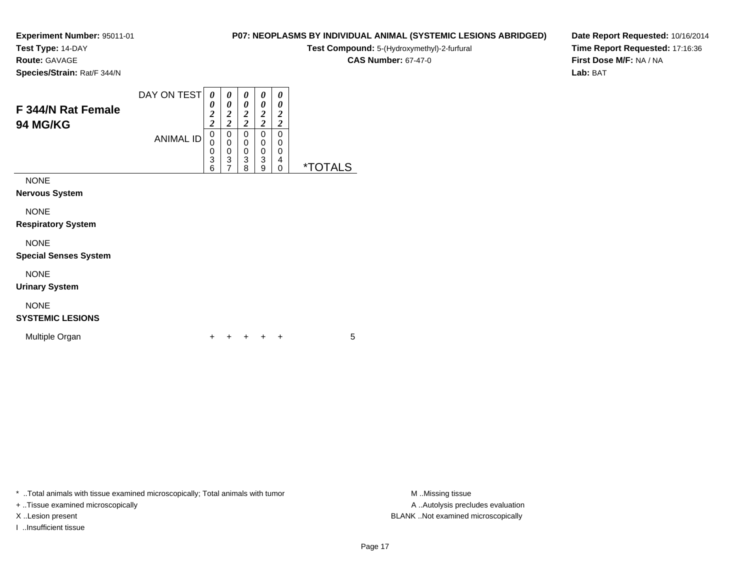**Test Type:** 14-DAY

**Route:** GAVAGE

**Species/Strain:** Rat/F 344/N

# **P07: NEOPLASMS BY INDIVIDUAL ANIMAL (SYSTEMIC LESIONS ABRIDGED)**

**Test Compound:** 5-(Hydroxymethyl)-2-furfural

**CAS Number:** 67-47-0

**Date Report Requested:** 10/16/2014**Time Report Requested:** 17:16:36**First Dose M/F:** NA / NA**Lab:** BAT

| <b>F 344/N Rat Female</b><br><b>94 MG/KG</b> | DAY ON TEST      | 0<br>0<br>2<br>2 | 0<br>0<br>2<br>ി<br>∠ | 0<br>0<br>$\overline{2}$<br>2 | 0<br>0<br>2<br>2 | 0<br>0<br>2<br>2 |                       |
|----------------------------------------------|------------------|------------------|-----------------------|-------------------------------|------------------|------------------|-----------------------|
|                                              | <b>ANIMAL ID</b> | 0<br>0<br>0<br>3 | 0<br>0<br>0<br>3      | 0<br>0<br>0<br>3              | 0<br>0<br>0<br>3 | 0<br>0<br>0<br>4 |                       |
|                                              |                  | 6                |                       | 8                             | 9                | 0                | <i><b>*TOTALS</b></i> |
| <b>NONE</b><br><b>Nervous System</b>         |                  |                  |                       |                               |                  |                  |                       |

NONE

**Respiratory System**

# NONE

**Special Senses System**

NONE

**Urinary System**

# NONE

# **SYSTEMIC LESIONS**

Multiple Organn  $+$ 

<sup>+</sup> <sup>+</sup> <sup>+</sup> <sup>+</sup> <sup>5</sup>

\* ..Total animals with tissue examined microscopically; Total animals with tumor **M** ...Missing tissue M ...Missing tissue

+ ..Tissue examined microscopically

I ..Insufficient tissue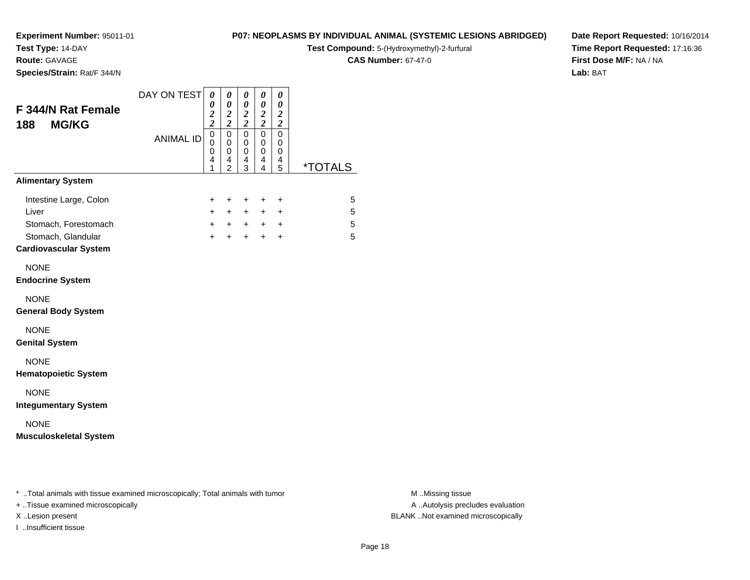**Test Type:** 14-DAY

**Route:** GAVAGE

**Species/Strain:** Rat/F 344/N

# **P07: NEOPLASMS BY INDIVIDUAL ANIMAL (SYSTEMIC LESIONS ABRIDGED)**

**Test Compound:** 5-(Hydroxymethyl)-2-furfural

**CAS Number:** 67-47-0

**Date Report Requested:** 10/16/2014**Time Report Requested:** 17:16:36**First Dose M/F:** NA / NA**Lab:** BAT

| <b>F 344/N Rat Female</b><br><b>MG/KG</b><br>188                                                              | DAY ON TEST      | 0<br>$\boldsymbol{\theta}$<br>$\frac{2}{2}$ | 0<br>$\pmb{\theta}$<br>$\boldsymbol{2}$<br>$\boldsymbol{2}$ | 0<br>$\pmb{\theta}$<br>$\frac{2}{2}$ | 0<br>$\boldsymbol{\theta}$<br>$\frac{2}{2}$  | 0<br>$\boldsymbol{\theta}$<br>$\boldsymbol{2}$<br>$\boldsymbol{2}$ |                       |
|---------------------------------------------------------------------------------------------------------------|------------------|---------------------------------------------|-------------------------------------------------------------|--------------------------------------|----------------------------------------------|--------------------------------------------------------------------|-----------------------|
|                                                                                                               | <b>ANIMAL ID</b> | $\overline{0}$<br>0<br>0<br>4<br>1          | $\mathsf 0$<br>$\mathbf 0$<br>0<br>4<br>$\overline{2}$      | $\pmb{0}$<br>0<br>0<br>4<br>3        | $\mathbf 0$<br>0<br>0<br>4<br>$\overline{4}$ | $\pmb{0}$<br>0<br>0<br>4<br>5                                      | <i><b>*TOTALS</b></i> |
| <b>Alimentary System</b>                                                                                      |                  |                                             |                                                             |                                      |                                              |                                                                    |                       |
| Intestine Large, Colon<br>Liver<br>Stomach, Forestomach<br>Stomach, Glandular<br><b>Cardiovascular System</b> |                  | +<br>$+$<br>$+$<br>$+$                      | $\ddot{}$<br>$+$<br>$+$<br>$+$                              | +<br>$+$<br>$+$<br>$+$               | $\ddot{}$<br>$+$<br>$+$<br>$+$               | $\ddot{}$<br>+<br>$\ddot{}$<br>$+$                                 | 5<br>5<br>5<br>5      |
| <b>NONE</b><br><b>Endocrine System</b>                                                                        |                  |                                             |                                                             |                                      |                                              |                                                                    |                       |
| <b>NONE</b><br><b>General Body System</b>                                                                     |                  |                                             |                                                             |                                      |                                              |                                                                    |                       |
| <b>NONE</b><br><b>Genital System</b>                                                                          |                  |                                             |                                                             |                                      |                                              |                                                                    |                       |
| <b>NONE</b><br><b>Hematopoietic System</b>                                                                    |                  |                                             |                                                             |                                      |                                              |                                                                    |                       |
| <b>NONE</b><br><b>Integumentary System</b>                                                                    |                  |                                             |                                                             |                                      |                                              |                                                                    |                       |
| <b>NONE</b><br><b>Musculoskeletal System</b>                                                                  |                  |                                             |                                                             |                                      |                                              |                                                                    |                       |

\* ..Total animals with tissue examined microscopically; Total animals with tumor **M** . Missing tissue M ..Missing tissue

+ ..Tissue examined microscopically

I ..Insufficient tissue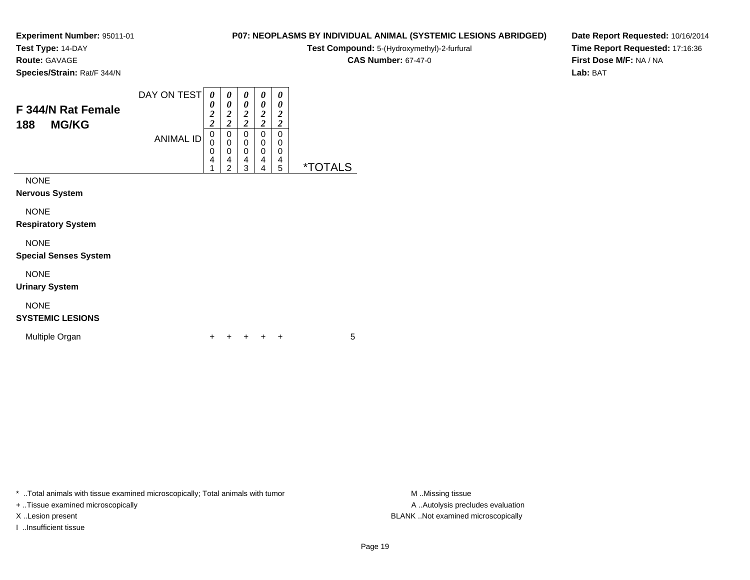**Test Type:** 14-DAY

**Route:** GAVAGE

**Species/Strain:** Rat/F 344/N

# **P07: NEOPLASMS BY INDIVIDUAL ANIMAL (SYSTEMIC LESIONS ABRIDGED)**

**Test Compound:** 5-(Hydroxymethyl)-2-furfural

**CAS Number:** 67-47-0

**Date Report Requested:** 10/16/2014**Time Report Requested:** 17:16:36**First Dose M/F:** NA / NA**Lab:** BAT

| <b>F 344/N Rat Female</b><br><b>MG/KG</b><br>188 | DAY ON TEST      | 0<br>0<br>2<br>2 | 0<br>0<br>2<br>ി<br>∠ | 0<br>0<br>2<br>2 | 0<br>0<br>2<br>2 | 0<br>0<br>2<br>2 |                       |
|--------------------------------------------------|------------------|------------------|-----------------------|------------------|------------------|------------------|-----------------------|
|                                                  | <b>ANIMAL ID</b> | 0<br>0           | 0<br>0                | 0<br>0           | 0<br>0           | 0<br>0           |                       |
|                                                  |                  | 0                | 0                     | 0                | 0                | 0                |                       |
|                                                  |                  | 4                | 4                     | 4                | 4                | 4                |                       |
|                                                  |                  |                  | າ                     | 3                | 4                | 5                | <i><b>*TOTALS</b></i> |
| <b>NONE</b>                                      |                  |                  |                       |                  |                  |                  |                       |
| <b>Nervous System</b>                            |                  |                  |                       |                  |                  |                  |                       |

NONE

**Respiratory System**

### NONE

**Special Senses System**

NONE

**Urinary System**

# NONE

# **SYSTEMIC LESIONS**

Multiple Organn  $+$ 

<sup>+</sup> <sup>+</sup> <sup>+</sup> <sup>+</sup> <sup>5</sup>

\* ..Total animals with tissue examined microscopically; Total animals with tumor **M** ...Missing tissue M ...Missing tissue

+ ..Tissue examined microscopically

I ..Insufficient tissue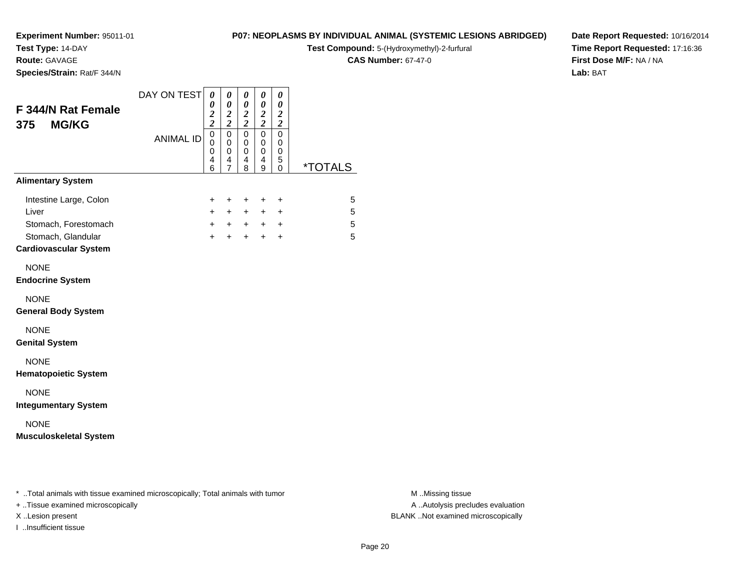**Test Type:** 14-DAY

**Route:** GAVAGE

**Species/Strain:** Rat/F 344/N

## **P07: NEOPLASMS BY INDIVIDUAL ANIMAL (SYSTEMIC LESIONS ABRIDGED)**

**Test Compound:** 5-(Hydroxymethyl)-2-furfural

**CAS Number:** 67-47-0

**Date Report Requested:** 10/16/2014**Time Report Requested:** 17:16:36**First Dose M/F:** NA / NA**Lab:** BAT

| 4<br>6<br>$\ddot{}$<br>$+$<br>$\ddot{}$ | 4<br>$\overline{7}$<br>$\ddot{}$<br>$+$<br>$+$<br>$+$<br>$+$ | 4<br>8<br>$\ddot{}$<br>$+$<br>$\ddot{}$ | 4<br>9<br>$\ddot{}$<br>$+$<br>$+$ $+$<br>$+$ | 5<br>0<br>$\ddot{}$<br>$\ddot{}$<br>$\ddot{}$<br>$\ddot{}$ | <i><b>*TOTALS</b></i><br>5<br>5<br>5<br>5 |
|-----------------------------------------|--------------------------------------------------------------|-----------------------------------------|----------------------------------------------|------------------------------------------------------------|-------------------------------------------|
|                                         |                                                              |                                         |                                              |                                                            |                                           |
|                                         |                                                              |                                         |                                              |                                                            |                                           |
|                                         |                                                              |                                         |                                              |                                                            |                                           |
|                                         |                                                              |                                         |                                              |                                                            |                                           |
|                                         |                                                              |                                         |                                              |                                                            |                                           |
|                                         |                                                              |                                         |                                              |                                                            |                                           |
|                                         |                                                              |                                         |                                              |                                                            |                                           |
|                                         |                                                              |                                         |                                              |                                                            |                                           |
|                                         |                                                              |                                         |                                              |                                                            |                                           |
|                                         |                                                              |                                         |                                              |                                                            |                                           |
|                                         |                                                              |                                         |                                              |                                                            |                                           |
|                                         |                                                              |                                         |                                              |                                                            |                                           |
|                                         |                                                              |                                         |                                              |                                                            |                                           |
|                                         |                                                              |                                         |                                              |                                                            |                                           |
|                                         |                                                              |                                         |                                              |                                                            |                                           |
|                                         |                                                              |                                         |                                              |                                                            |                                           |
|                                         |                                                              |                                         |                                              |                                                            |                                           |
|                                         |                                                              |                                         |                                              |                                                            |                                           |
|                                         |                                                              |                                         |                                              |                                                            |                                           |
|                                         |                                                              |                                         |                                              |                                                            |                                           |

\* ..Total animals with tissue examined microscopically; Total animals with tumor **M** . Missing tissue M ..Missing tissue

+ ..Tissue examined microscopically

I ..Insufficient tissue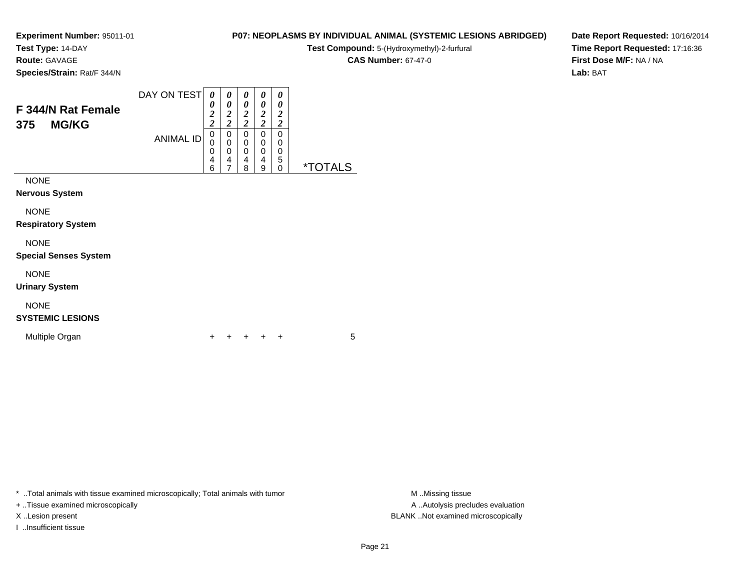**Test Type:** 14-DAY

**Route:** GAVAGE

**Species/Strain:** Rat/F 344/N

#### **P07: NEOPLASMS BY INDIVIDUAL ANIMAL (SYSTEMIC LESIONS ABRIDGED)**

**Test Compound:** 5-(Hydroxymethyl)-2-furfural

**CAS Number:** 67-47-0

**Date Report Requested:** 10/16/2014**Time Report Requested:** 17:16:36**First Dose M/F:** NA / NA**Lab:** BAT

| F 344/N Rat Female<br><b>MG/KG</b><br>375 | DAY ON TEST<br><b>ANIMAL ID</b> | 0<br>0<br>$\overline{2}$<br>$\overline{2}$<br>0<br>0<br>0<br>4<br>6 | 0<br>0<br>$\overline{2}$<br>ി<br>0<br>0<br>0<br>4<br>7 | 0<br>0<br>2<br>ി<br>0<br>0<br>0<br>4<br>8 | 0<br>0<br>2<br>2<br>0<br>$\mathbf 0$<br>0<br>4<br>9 | 0<br>0<br>2<br>2<br>0<br>0<br>0<br>5<br>0 | <i><b>*TOTALS</b></i> |
|-------------------------------------------|---------------------------------|---------------------------------------------------------------------|--------------------------------------------------------|-------------------------------------------|-----------------------------------------------------|-------------------------------------------|-----------------------|
| <b>NONE</b><br>Mamissica Occalana         |                                 |                                                                     |                                                        |                                           |                                                     |                                           |                       |

**Nervous System**

NONE

**Respiratory System**

NONE

**Special Senses System**

NONE

**Urinary System**

# NONE

**SYSTEMIC LESIONS**

Multiple Organn  $+$ 

<sup>+</sup> <sup>+</sup> <sup>+</sup> <sup>+</sup> <sup>5</sup>

\* ..Total animals with tissue examined microscopically; Total animals with tumor **M** ...Missing tissue M ...Missing tissue

+ ..Tissue examined microscopically

I ..Insufficient tissue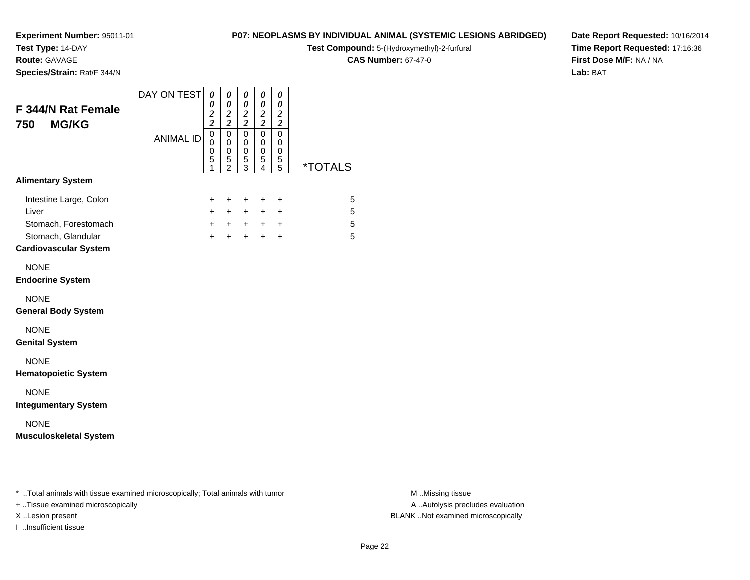**Test Type:** 14-DAY

**Route:** GAVAGE

**Species/Strain:** Rat/F 344/N

## **P07: NEOPLASMS BY INDIVIDUAL ANIMAL (SYSTEMIC LESIONS ABRIDGED)**

**Test Compound:** 5-(Hydroxymethyl)-2-furfural

**CAS Number:** 67-47-0

**Date Report Requested:** 10/16/2014**Time Report Requested:** 17:16:36**First Dose M/F:** NA / NA**Lab:** BAT

| F 344/N Rat Female<br><b>MG/KG</b><br>750                                  | DAY ON TEST      | 0<br>0<br>$\frac{2}{2}$                   | 0<br>$\boldsymbol{\theta}$<br>$\boldsymbol{2}$<br>$\overline{c}$ | 0<br>$\boldsymbol{\theta}$<br>$\frac{2}{2}$ | 0<br>$\boldsymbol{\theta}$<br>$\frac{2}{2}$ | 0<br>$\boldsymbol{\theta}$<br>$\boldsymbol{2}$<br>$\boldsymbol{2}$ |                       |
|----------------------------------------------------------------------------|------------------|-------------------------------------------|------------------------------------------------------------------|---------------------------------------------|---------------------------------------------|--------------------------------------------------------------------|-----------------------|
|                                                                            | <b>ANIMAL ID</b> | $\mathbf 0$<br>$\mathbf 0$<br>0<br>5<br>1 | $\mathbf 0$<br>$\mathbf 0$<br>0<br>5<br>$\bar{2}$                | 0<br>0<br>$\mathbf 0$<br>5<br>$\bar{3}$     | $\mathbf 0$<br>0<br>0<br>$\frac{5}{4}$      | 0<br>0<br>0<br>$\frac{5}{5}$                                       | <i><b>*TOTALS</b></i> |
| <b>Alimentary System</b>                                                   |                  |                                           |                                                                  |                                             |                                             |                                                                    |                       |
| Intestine Large, Colon<br>Liver                                            |                  | +<br>$\ddot{}$                            | $\ddot{}$<br>$+$                                                 | $\ddot{}$<br>$+$                            | $\ddot{}$<br>$+$                            | $\ddot{}$<br>$\ddot{}$                                             | 5<br>5                |
| Stomach, Forestomach<br>Stomach, Glandular<br><b>Cardiovascular System</b> |                  | $+$<br>$+$                                | $+$                                                              | $+$ $+$<br>$+$                              | $+$<br>$+$                                  | $\ddot{}$<br>$+$                                                   | 5<br>5                |
| <b>NONE</b><br><b>Endocrine System</b>                                     |                  |                                           |                                                                  |                                             |                                             |                                                                    |                       |
| <b>NONE</b><br><b>General Body System</b>                                  |                  |                                           |                                                                  |                                             |                                             |                                                                    |                       |
| <b>NONE</b><br><b>Genital System</b>                                       |                  |                                           |                                                                  |                                             |                                             |                                                                    |                       |
| <b>NONE</b><br><b>Hematopoietic System</b>                                 |                  |                                           |                                                                  |                                             |                                             |                                                                    |                       |
| <b>NONE</b><br><b>Integumentary System</b>                                 |                  |                                           |                                                                  |                                             |                                             |                                                                    |                       |
| <b>NONE</b><br><b>Musculoskeletal System</b>                               |                  |                                           |                                                                  |                                             |                                             |                                                                    |                       |

\* ..Total animals with tissue examined microscopically; Total animals with tumor **M** . Missing tissue M ..Missing tissue

+ ..Tissue examined microscopically

I ..Insufficient tissue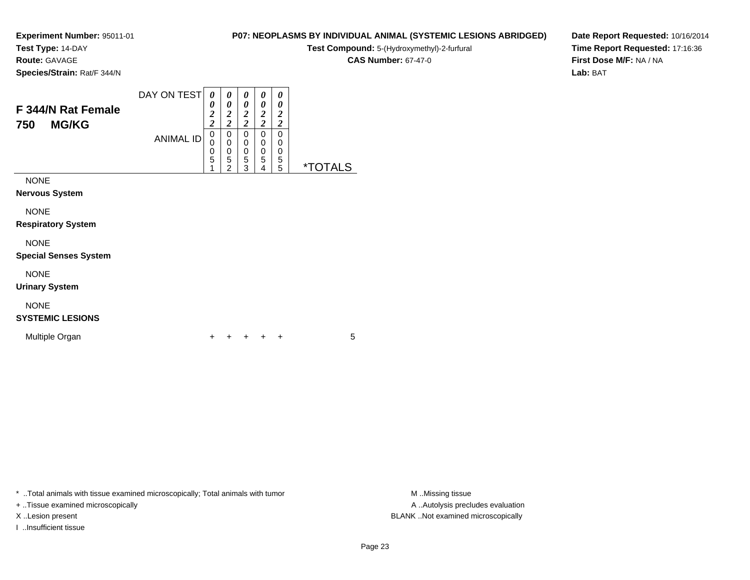**Test Type:** 14-DAY

**Route:** GAVAGE

**Species/Strain:** Rat/F 344/N

# **P07: NEOPLASMS BY INDIVIDUAL ANIMAL (SYSTEMIC LESIONS ABRIDGED)**

 $\overline{\phantom{0}}$ 

**Test Compound:** 5-(Hydroxymethyl)-2-furfural

**CAS Number:** 67-47-0

**Date Report Requested:** 10/16/2014**Time Report Requested:** 17:16:36**First Dose M/F:** NA / NA**Lab:** BAT

| F 344/N Rat Female<br><b>MG/KG</b><br>750 | DAY ON TEST<br><b>ANIMAL ID</b> | $\theta$<br>$\boldsymbol{\theta}$<br>$\overline{2}$<br>$\overline{2}$<br>0 | 0<br>0<br>2<br>2<br>0 | 0<br>0<br>2<br>2<br>0 | $\theta$<br>0<br>2<br>ኅ<br>0 | 0<br>0<br>2<br>2<br>0 |                       |
|-------------------------------------------|---------------------------------|----------------------------------------------------------------------------|-----------------------|-----------------------|------------------------------|-----------------------|-----------------------|
|                                           |                                 | 0<br>0<br>5                                                                | 0<br>0<br>5<br>າ      | 0<br>0<br>5<br>3      | 0<br>0<br>5<br>4             | 0<br>0<br>5<br>5      | <i><b>*TOTALS</b></i> |
| <b>NONE</b>                               |                                 |                                                                            |                       |                       |                              |                       |                       |
| <b>Nervous System</b>                     |                                 |                                                                            |                       |                       |                              |                       |                       |

NONE

**Respiratory System**

# NONE

**Special Senses System**

NONE

**Urinary System**

# NONE

# **SYSTEMIC LESIONS**

Multiple Organn  $+$ 

<sup>+</sup> <sup>+</sup> <sup>+</sup> <sup>+</sup> <sup>5</sup>

\* ..Total animals with tissue examined microscopically; Total animals with tumor **M** ...Missing tissue M ...Missing tissue

+ ..Tissue examined microscopically

I ..Insufficient tissue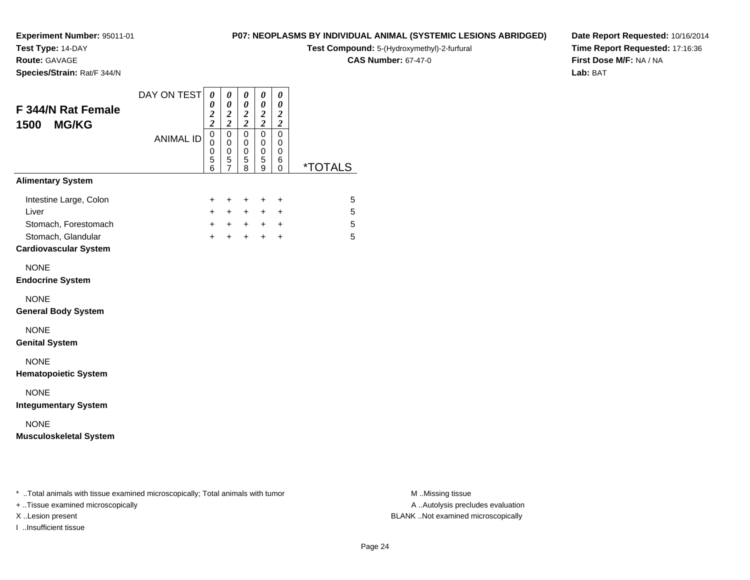**Test Type:** 14-DAY

**Route:** GAVAGE

**Species/Strain:** Rat/F 344/N

# **P07: NEOPLASMS BY INDIVIDUAL ANIMAL (SYSTEMIC LESIONS ABRIDGED)**

**Test Compound:** 5-(Hydroxymethyl)-2-furfural

**CAS Number:** 67-47-0

**Date Report Requested:** 10/16/2014**Time Report Requested:** 17:16:36**First Dose M/F:** NA / NA**Lab:** BAT

| F 344/N Rat Female<br><b>MG/KG</b><br>1500         | DAY ON TEST      | 0<br>$\boldsymbol{\theta}$<br>$\frac{2}{2}$ | 0<br>$\boldsymbol{\theta}$<br>$\boldsymbol{2}$<br>$\overline{\mathbf{c}}$ | 0<br>$\pmb{\theta}$<br>$\frac{2}{2}$                | 0<br>$\boldsymbol{\theta}$<br>$\frac{2}{2}$ | 0<br>$\boldsymbol{\theta}$<br>$\boldsymbol{2}$<br>$\overline{2}$ |                       |
|----------------------------------------------------|------------------|---------------------------------------------|---------------------------------------------------------------------------|-----------------------------------------------------|---------------------------------------------|------------------------------------------------------------------|-----------------------|
|                                                    | <b>ANIMAL ID</b> | $\mathbf 0$<br>0<br>$\pmb{0}$<br>5<br>6     | $\mathbf 0$<br>$\mathbf 0$<br>0<br>5<br>$\overline{7}$                    | $\mathbf 0$<br>$\mathbf 0$<br>0<br>$\mathbf 5$<br>8 | $\mathbf 0$<br>0<br>$\mathbf 0$<br>5<br>9   | $\mathbf 0$<br>0<br>0<br>6<br>$\Omega$                           | <i><b>*TOTALS</b></i> |
| <b>Alimentary System</b>                           |                  |                                             |                                                                           |                                                     |                                             |                                                                  |                       |
| Intestine Large, Colon                             |                  | +                                           | $\ddot{}$                                                                 | $\ddot{}$                                           | $\ddot{}$                                   | $\ddot{}$                                                        | 5                     |
| Liver                                              |                  | $\ddot{}$                                   | $+$                                                                       | $+$                                                 | $+$                                         | $\ddot{}$                                                        | 5                     |
| Stomach, Forestomach                               |                  | $+$                                         | $+$                                                                       | $+$                                                 |                                             | $+$ $+$                                                          | 5                     |
| Stomach, Glandular<br><b>Cardiovascular System</b> |                  | $+$                                         | $\ddot{}$                                                                 | $+$                                                 | $+$                                         | $+$                                                              | 5                     |
| <b>NONE</b><br><b>Endocrine System</b>             |                  |                                             |                                                                           |                                                     |                                             |                                                                  |                       |
| <b>NONE</b><br><b>General Body System</b>          |                  |                                             |                                                                           |                                                     |                                             |                                                                  |                       |
| <b>NONE</b><br><b>Genital System</b>               |                  |                                             |                                                                           |                                                     |                                             |                                                                  |                       |
| <b>NONE</b><br><b>Hematopoietic System</b>         |                  |                                             |                                                                           |                                                     |                                             |                                                                  |                       |
| <b>NONE</b><br><b>Integumentary System</b>         |                  |                                             |                                                                           |                                                     |                                             |                                                                  |                       |
| <b>NONE</b><br><b>Musculoskeletal System</b>       |                  |                                             |                                                                           |                                                     |                                             |                                                                  |                       |

\* ..Total animals with tissue examined microscopically; Total animals with tumor **M** . Missing tissue M ..Missing tissue

+ ..Tissue examined microscopically

I ..Insufficient tissue